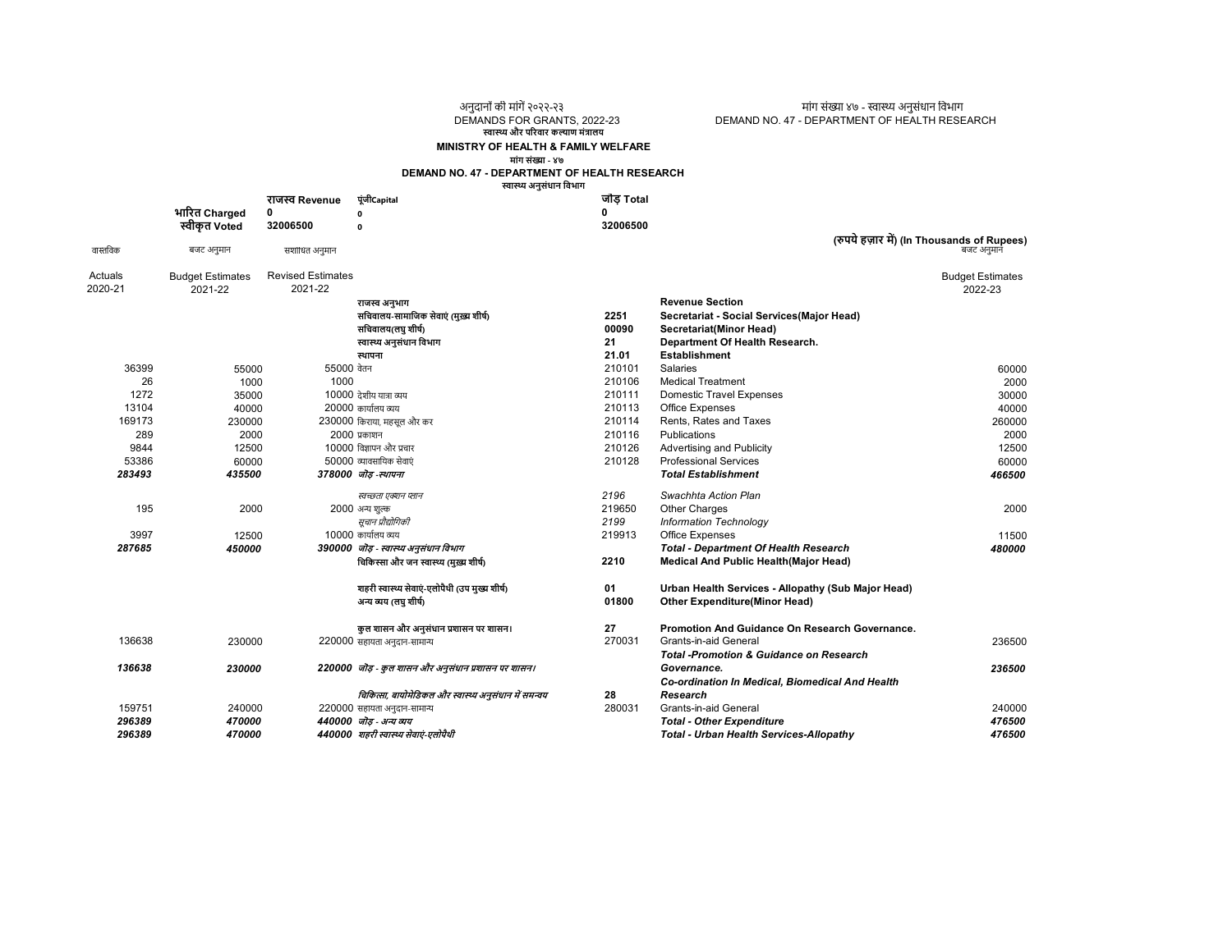अनुदानों की मांगें २०२२-२३ मांग संख्या ४७ - स्वास्थ्य अनुसंधान विभाग<br>DEMANDS FOR GRANTS, 2022-23 DEMAND NO. 47 - DEPARTMENT OF HEALTH RESE DEMAND NO. 47 - DEPARTMENT OF HEALTH RESEARCH

स्वास्थ्य और परिवार कल्याण मंत्रालय

## MINISTRY OF HEALTH & FAMILY WELFARE

मांग संƥा - ४७ DEMAND NO. 47 - DEPARTMENT OF HEALTH RESEARCH

| पूंजीCapital<br>जोड Total<br>राजस्व Revenue<br>भारित Charged<br>0<br>$\mathbf{0}$<br>स्वीकृत Voted<br>32006500<br>32006500<br>$\Omega$<br>वास्तविक<br>बजट अनमानं<br>बजट अनुमान<br>संशोधित अनुमान<br><b>Revised Estimates</b><br>Actuals<br><b>Budget Estimates</b><br><b>Budget Estimates</b><br>2021-22<br>2020-21<br>2022-23<br>2021-22<br><b>Revenue Section</b><br>राजस्व अनुभाग<br>सचिवालय-सामाजिक सेवाएं (मुख्य शीर्ष)<br>Secretariat - Social Services (Major Head)<br>2251<br>सचिवालय(लघु शीर्ष)<br>00090<br>Secretariat(Minor Head)<br>21<br>स्वास्थ्य अनुसंधान विभाग<br>Department Of Health Research.<br>21.01<br><b>Establishment</b><br>स्थापना<br>36399<br>55000 वेतन<br>210101<br><b>Salaries</b><br>55000<br>1000<br>26<br>1000<br>210106<br><b>Medical Treatment</b><br>1272<br>10000 देशीय यात्रा व्यय<br>35000<br>210111<br><b>Domestic Travel Expenses</b><br>20000 कार्यालय व्यय<br>13104<br>40000<br>210113<br><b>Office Expenses</b><br>169173<br>230000 किराया. महसल और कर<br>210114<br>Rents, Rates and Taxes<br>230000<br>289<br>2000 प्रकाशन<br>210116<br>Publications<br>2000<br>10000 विज्ञापन और प्रचार<br>9844<br>210126<br>12500<br>Advertising and Publicity<br>53386<br>210128<br><b>Professional Services</b><br>60000<br>50000 व्यावसायिक सेवाएं<br>283493<br>435500<br><b>Total Establishment</b><br>378000 जोड-स्थापना<br>466500<br>2196<br>Swachhta Action Plan<br>स्वच्छता एक्शन प्लान<br>2000<br>195<br>219650<br><b>Other Charges</b><br>2000 अन्य शुल्क<br>सूचान प्रौद्योगिकी<br>2199<br><b>Information Technology</b><br>10000 कार्यालय व्यय<br>3997<br>12500<br>219913<br>Office Expenses<br>287685<br><b>Total - Department Of Health Research</b><br>450000<br>390000 जोड़ - स्वास्थ्य अनुसंधान विभाग<br>चिकिस्सा और जन स्वास्थ्य (मुख्य शीर्ष)<br>2210<br>Medical And Public Health(Major Head)<br>शहरी स्वास्थ्य सेवाएं-एलोपैथी (उप मुख्य शीर्ष)<br>01<br>Urban Health Services - Allopathy (Sub Major Head)<br>01800<br><b>Other Expenditure(Minor Head)</b><br>अन्य व्यय (लघु शीर्ष)<br>कुल शासन और अनुसंधान प्रशासन पर शासन।<br>27<br>Promotion And Guidance On Research Governance.<br>270031<br>136638<br>Grants-in-aid General<br>230000<br>220000 सहायता अनुदान-सामान्य<br><b>Total -Promotion &amp; Guidance on Research</b><br>136638<br>230000<br>220000 जोड़ - कुल शासन और अनुसंधान प्रशासन पर शासन।<br>236500<br>Governance.<br>Co-ordination In Medical, Biomedical And Health<br>चिकित्सा, बायोमेडिकल और स्वास्थ्य अनुसंधान में समन्वय<br>28<br>Research<br>159751<br>280031<br>Grants-in-aid General<br>240000<br>220000 सहायता अनुदान-सामान्य<br>440000 जॊड - अन्य व्यय |        |        | DEMAND NO. 47 - DEPARTMENT OF HEALTH RESEARCH<br>स्वास्थ्य अनुसंधान विभाग |                                  |        |
|------------------------------------------------------------------------------------------------------------------------------------------------------------------------------------------------------------------------------------------------------------------------------------------------------------------------------------------------------------------------------------------------------------------------------------------------------------------------------------------------------------------------------------------------------------------------------------------------------------------------------------------------------------------------------------------------------------------------------------------------------------------------------------------------------------------------------------------------------------------------------------------------------------------------------------------------------------------------------------------------------------------------------------------------------------------------------------------------------------------------------------------------------------------------------------------------------------------------------------------------------------------------------------------------------------------------------------------------------------------------------------------------------------------------------------------------------------------------------------------------------------------------------------------------------------------------------------------------------------------------------------------------------------------------------------------------------------------------------------------------------------------------------------------------------------------------------------------------------------------------------------------------------------------------------------------------------------------------------------------------------------------------------------------------------------------------------------------------------------------------------------------------------------------------------------------------------------------------------------------------------------------------------------------------------------------------------------------------------------------------------------------------------------------------------------------------------------------------------------------------------------------------------------------------------------------------------------------------------------------------------------------|--------|--------|---------------------------------------------------------------------------|----------------------------------|--------|
| (रुपये हज़ार में) (In Thousands of Rupees)<br>60000<br>2000<br>30000<br>40000<br>260000<br>2000<br>12500<br>60000<br>2000<br>11500<br>480000<br>236500<br>240000                                                                                                                                                                                                                                                                                                                                                                                                                                                                                                                                                                                                                                                                                                                                                                                                                                                                                                                                                                                                                                                                                                                                                                                                                                                                                                                                                                                                                                                                                                                                                                                                                                                                                                                                                                                                                                                                                                                                                                                                                                                                                                                                                                                                                                                                                                                                                                                                                                                                         |        |        |                                                                           |                                  |        |
|                                                                                                                                                                                                                                                                                                                                                                                                                                                                                                                                                                                                                                                                                                                                                                                                                                                                                                                                                                                                                                                                                                                                                                                                                                                                                                                                                                                                                                                                                                                                                                                                                                                                                                                                                                                                                                                                                                                                                                                                                                                                                                                                                                                                                                                                                                                                                                                                                                                                                                                                                                                                                                          |        |        |                                                                           |                                  |        |
|                                                                                                                                                                                                                                                                                                                                                                                                                                                                                                                                                                                                                                                                                                                                                                                                                                                                                                                                                                                                                                                                                                                                                                                                                                                                                                                                                                                                                                                                                                                                                                                                                                                                                                                                                                                                                                                                                                                                                                                                                                                                                                                                                                                                                                                                                                                                                                                                                                                                                                                                                                                                                                          |        |        |                                                                           |                                  |        |
|                                                                                                                                                                                                                                                                                                                                                                                                                                                                                                                                                                                                                                                                                                                                                                                                                                                                                                                                                                                                                                                                                                                                                                                                                                                                                                                                                                                                                                                                                                                                                                                                                                                                                                                                                                                                                                                                                                                                                                                                                                                                                                                                                                                                                                                                                                                                                                                                                                                                                                                                                                                                                                          |        |        |                                                                           |                                  |        |
|                                                                                                                                                                                                                                                                                                                                                                                                                                                                                                                                                                                                                                                                                                                                                                                                                                                                                                                                                                                                                                                                                                                                                                                                                                                                                                                                                                                                                                                                                                                                                                                                                                                                                                                                                                                                                                                                                                                                                                                                                                                                                                                                                                                                                                                                                                                                                                                                                                                                                                                                                                                                                                          |        |        |                                                                           |                                  |        |
|                                                                                                                                                                                                                                                                                                                                                                                                                                                                                                                                                                                                                                                                                                                                                                                                                                                                                                                                                                                                                                                                                                                                                                                                                                                                                                                                                                                                                                                                                                                                                                                                                                                                                                                                                                                                                                                                                                                                                                                                                                                                                                                                                                                                                                                                                                                                                                                                                                                                                                                                                                                                                                          |        |        |                                                                           |                                  |        |
|                                                                                                                                                                                                                                                                                                                                                                                                                                                                                                                                                                                                                                                                                                                                                                                                                                                                                                                                                                                                                                                                                                                                                                                                                                                                                                                                                                                                                                                                                                                                                                                                                                                                                                                                                                                                                                                                                                                                                                                                                                                                                                                                                                                                                                                                                                                                                                                                                                                                                                                                                                                                                                          |        |        |                                                                           |                                  |        |
|                                                                                                                                                                                                                                                                                                                                                                                                                                                                                                                                                                                                                                                                                                                                                                                                                                                                                                                                                                                                                                                                                                                                                                                                                                                                                                                                                                                                                                                                                                                                                                                                                                                                                                                                                                                                                                                                                                                                                                                                                                                                                                                                                                                                                                                                                                                                                                                                                                                                                                                                                                                                                                          |        |        |                                                                           |                                  |        |
|                                                                                                                                                                                                                                                                                                                                                                                                                                                                                                                                                                                                                                                                                                                                                                                                                                                                                                                                                                                                                                                                                                                                                                                                                                                                                                                                                                                                                                                                                                                                                                                                                                                                                                                                                                                                                                                                                                                                                                                                                                                                                                                                                                                                                                                                                                                                                                                                                                                                                                                                                                                                                                          |        |        |                                                                           |                                  |        |
|                                                                                                                                                                                                                                                                                                                                                                                                                                                                                                                                                                                                                                                                                                                                                                                                                                                                                                                                                                                                                                                                                                                                                                                                                                                                                                                                                                                                                                                                                                                                                                                                                                                                                                                                                                                                                                                                                                                                                                                                                                                                                                                                                                                                                                                                                                                                                                                                                                                                                                                                                                                                                                          |        |        |                                                                           |                                  |        |
|                                                                                                                                                                                                                                                                                                                                                                                                                                                                                                                                                                                                                                                                                                                                                                                                                                                                                                                                                                                                                                                                                                                                                                                                                                                                                                                                                                                                                                                                                                                                                                                                                                                                                                                                                                                                                                                                                                                                                                                                                                                                                                                                                                                                                                                                                                                                                                                                                                                                                                                                                                                                                                          |        |        |                                                                           |                                  |        |
|                                                                                                                                                                                                                                                                                                                                                                                                                                                                                                                                                                                                                                                                                                                                                                                                                                                                                                                                                                                                                                                                                                                                                                                                                                                                                                                                                                                                                                                                                                                                                                                                                                                                                                                                                                                                                                                                                                                                                                                                                                                                                                                                                                                                                                                                                                                                                                                                                                                                                                                                                                                                                                          |        |        |                                                                           |                                  |        |
|                                                                                                                                                                                                                                                                                                                                                                                                                                                                                                                                                                                                                                                                                                                                                                                                                                                                                                                                                                                                                                                                                                                                                                                                                                                                                                                                                                                                                                                                                                                                                                                                                                                                                                                                                                                                                                                                                                                                                                                                                                                                                                                                                                                                                                                                                                                                                                                                                                                                                                                                                                                                                                          |        |        |                                                                           |                                  |        |
|                                                                                                                                                                                                                                                                                                                                                                                                                                                                                                                                                                                                                                                                                                                                                                                                                                                                                                                                                                                                                                                                                                                                                                                                                                                                                                                                                                                                                                                                                                                                                                                                                                                                                                                                                                                                                                                                                                                                                                                                                                                                                                                                                                                                                                                                                                                                                                                                                                                                                                                                                                                                                                          |        |        |                                                                           |                                  |        |
|                                                                                                                                                                                                                                                                                                                                                                                                                                                                                                                                                                                                                                                                                                                                                                                                                                                                                                                                                                                                                                                                                                                                                                                                                                                                                                                                                                                                                                                                                                                                                                                                                                                                                                                                                                                                                                                                                                                                                                                                                                                                                                                                                                                                                                                                                                                                                                                                                                                                                                                                                                                                                                          |        |        |                                                                           |                                  |        |
|                                                                                                                                                                                                                                                                                                                                                                                                                                                                                                                                                                                                                                                                                                                                                                                                                                                                                                                                                                                                                                                                                                                                                                                                                                                                                                                                                                                                                                                                                                                                                                                                                                                                                                                                                                                                                                                                                                                                                                                                                                                                                                                                                                                                                                                                                                                                                                                                                                                                                                                                                                                                                                          |        |        |                                                                           |                                  |        |
|                                                                                                                                                                                                                                                                                                                                                                                                                                                                                                                                                                                                                                                                                                                                                                                                                                                                                                                                                                                                                                                                                                                                                                                                                                                                                                                                                                                                                                                                                                                                                                                                                                                                                                                                                                                                                                                                                                                                                                                                                                                                                                                                                                                                                                                                                                                                                                                                                                                                                                                                                                                                                                          |        |        |                                                                           |                                  |        |
|                                                                                                                                                                                                                                                                                                                                                                                                                                                                                                                                                                                                                                                                                                                                                                                                                                                                                                                                                                                                                                                                                                                                                                                                                                                                                                                                                                                                                                                                                                                                                                                                                                                                                                                                                                                                                                                                                                                                                                                                                                                                                                                                                                                                                                                                                                                                                                                                                                                                                                                                                                                                                                          |        |        |                                                                           |                                  |        |
|                                                                                                                                                                                                                                                                                                                                                                                                                                                                                                                                                                                                                                                                                                                                                                                                                                                                                                                                                                                                                                                                                                                                                                                                                                                                                                                                                                                                                                                                                                                                                                                                                                                                                                                                                                                                                                                                                                                                                                                                                                                                                                                                                                                                                                                                                                                                                                                                                                                                                                                                                                                                                                          |        |        |                                                                           |                                  |        |
|                                                                                                                                                                                                                                                                                                                                                                                                                                                                                                                                                                                                                                                                                                                                                                                                                                                                                                                                                                                                                                                                                                                                                                                                                                                                                                                                                                                                                                                                                                                                                                                                                                                                                                                                                                                                                                                                                                                                                                                                                                                                                                                                                                                                                                                                                                                                                                                                                                                                                                                                                                                                                                          |        |        |                                                                           |                                  |        |
|                                                                                                                                                                                                                                                                                                                                                                                                                                                                                                                                                                                                                                                                                                                                                                                                                                                                                                                                                                                                                                                                                                                                                                                                                                                                                                                                                                                                                                                                                                                                                                                                                                                                                                                                                                                                                                                                                                                                                                                                                                                                                                                                                                                                                                                                                                                                                                                                                                                                                                                                                                                                                                          |        |        |                                                                           |                                  |        |
|                                                                                                                                                                                                                                                                                                                                                                                                                                                                                                                                                                                                                                                                                                                                                                                                                                                                                                                                                                                                                                                                                                                                                                                                                                                                                                                                                                                                                                                                                                                                                                                                                                                                                                                                                                                                                                                                                                                                                                                                                                                                                                                                                                                                                                                                                                                                                                                                                                                                                                                                                                                                                                          |        |        |                                                                           |                                  |        |
|                                                                                                                                                                                                                                                                                                                                                                                                                                                                                                                                                                                                                                                                                                                                                                                                                                                                                                                                                                                                                                                                                                                                                                                                                                                                                                                                                                                                                                                                                                                                                                                                                                                                                                                                                                                                                                                                                                                                                                                                                                                                                                                                                                                                                                                                                                                                                                                                                                                                                                                                                                                                                                          |        |        |                                                                           |                                  |        |
|                                                                                                                                                                                                                                                                                                                                                                                                                                                                                                                                                                                                                                                                                                                                                                                                                                                                                                                                                                                                                                                                                                                                                                                                                                                                                                                                                                                                                                                                                                                                                                                                                                                                                                                                                                                                                                                                                                                                                                                                                                                                                                                                                                                                                                                                                                                                                                                                                                                                                                                                                                                                                                          |        |        |                                                                           |                                  |        |
|                                                                                                                                                                                                                                                                                                                                                                                                                                                                                                                                                                                                                                                                                                                                                                                                                                                                                                                                                                                                                                                                                                                                                                                                                                                                                                                                                                                                                                                                                                                                                                                                                                                                                                                                                                                                                                                                                                                                                                                                                                                                                                                                                                                                                                                                                                                                                                                                                                                                                                                                                                                                                                          |        |        |                                                                           |                                  |        |
|                                                                                                                                                                                                                                                                                                                                                                                                                                                                                                                                                                                                                                                                                                                                                                                                                                                                                                                                                                                                                                                                                                                                                                                                                                                                                                                                                                                                                                                                                                                                                                                                                                                                                                                                                                                                                                                                                                                                                                                                                                                                                                                                                                                                                                                                                                                                                                                                                                                                                                                                                                                                                                          |        |        |                                                                           |                                  |        |
|                                                                                                                                                                                                                                                                                                                                                                                                                                                                                                                                                                                                                                                                                                                                                                                                                                                                                                                                                                                                                                                                                                                                                                                                                                                                                                                                                                                                                                                                                                                                                                                                                                                                                                                                                                                                                                                                                                                                                                                                                                                                                                                                                                                                                                                                                                                                                                                                                                                                                                                                                                                                                                          |        |        |                                                                           |                                  |        |
|                                                                                                                                                                                                                                                                                                                                                                                                                                                                                                                                                                                                                                                                                                                                                                                                                                                                                                                                                                                                                                                                                                                                                                                                                                                                                                                                                                                                                                                                                                                                                                                                                                                                                                                                                                                                                                                                                                                                                                                                                                                                                                                                                                                                                                                                                                                                                                                                                                                                                                                                                                                                                                          |        |        |                                                                           |                                  |        |
|                                                                                                                                                                                                                                                                                                                                                                                                                                                                                                                                                                                                                                                                                                                                                                                                                                                                                                                                                                                                                                                                                                                                                                                                                                                                                                                                                                                                                                                                                                                                                                                                                                                                                                                                                                                                                                                                                                                                                                                                                                                                                                                                                                                                                                                                                                                                                                                                                                                                                                                                                                                                                                          |        |        |                                                                           |                                  |        |
|                                                                                                                                                                                                                                                                                                                                                                                                                                                                                                                                                                                                                                                                                                                                                                                                                                                                                                                                                                                                                                                                                                                                                                                                                                                                                                                                                                                                                                                                                                                                                                                                                                                                                                                                                                                                                                                                                                                                                                                                                                                                                                                                                                                                                                                                                                                                                                                                                                                                                                                                                                                                                                          |        |        |                                                                           |                                  |        |
|                                                                                                                                                                                                                                                                                                                                                                                                                                                                                                                                                                                                                                                                                                                                                                                                                                                                                                                                                                                                                                                                                                                                                                                                                                                                                                                                                                                                                                                                                                                                                                                                                                                                                                                                                                                                                                                                                                                                                                                                                                                                                                                                                                                                                                                                                                                                                                                                                                                                                                                                                                                                                                          |        |        |                                                                           |                                  |        |
|                                                                                                                                                                                                                                                                                                                                                                                                                                                                                                                                                                                                                                                                                                                                                                                                                                                                                                                                                                                                                                                                                                                                                                                                                                                                                                                                                                                                                                                                                                                                                                                                                                                                                                                                                                                                                                                                                                                                                                                                                                                                                                                                                                                                                                                                                                                                                                                                                                                                                                                                                                                                                                          |        |        |                                                                           |                                  |        |
|                                                                                                                                                                                                                                                                                                                                                                                                                                                                                                                                                                                                                                                                                                                                                                                                                                                                                                                                                                                                                                                                                                                                                                                                                                                                                                                                                                                                                                                                                                                                                                                                                                                                                                                                                                                                                                                                                                                                                                                                                                                                                                                                                                                                                                                                                                                                                                                                                                                                                                                                                                                                                                          |        |        |                                                                           |                                  |        |
|                                                                                                                                                                                                                                                                                                                                                                                                                                                                                                                                                                                                                                                                                                                                                                                                                                                                                                                                                                                                                                                                                                                                                                                                                                                                                                                                                                                                                                                                                                                                                                                                                                                                                                                                                                                                                                                                                                                                                                                                                                                                                                                                                                                                                                                                                                                                                                                                                                                                                                                                                                                                                                          |        |        |                                                                           |                                  |        |
|                                                                                                                                                                                                                                                                                                                                                                                                                                                                                                                                                                                                                                                                                                                                                                                                                                                                                                                                                                                                                                                                                                                                                                                                                                                                                                                                                                                                                                                                                                                                                                                                                                                                                                                                                                                                                                                                                                                                                                                                                                                                                                                                                                                                                                                                                                                                                                                                                                                                                                                                                                                                                                          |        |        |                                                                           |                                  |        |
|                                                                                                                                                                                                                                                                                                                                                                                                                                                                                                                                                                                                                                                                                                                                                                                                                                                                                                                                                                                                                                                                                                                                                                                                                                                                                                                                                                                                                                                                                                                                                                                                                                                                                                                                                                                                                                                                                                                                                                                                                                                                                                                                                                                                                                                                                                                                                                                                                                                                                                                                                                                                                                          |        |        |                                                                           |                                  |        |
|                                                                                                                                                                                                                                                                                                                                                                                                                                                                                                                                                                                                                                                                                                                                                                                                                                                                                                                                                                                                                                                                                                                                                                                                                                                                                                                                                                                                                                                                                                                                                                                                                                                                                                                                                                                                                                                                                                                                                                                                                                                                                                                                                                                                                                                                                                                                                                                                                                                                                                                                                                                                                                          | 296389 | 470000 |                                                                           | <b>Total - Other Expenditure</b> | 476500 |

296389 440000 शहरी ˢा˖ सेवाएं-एलोपैथी Total - Urban Health Services-Allopathy 470000 476500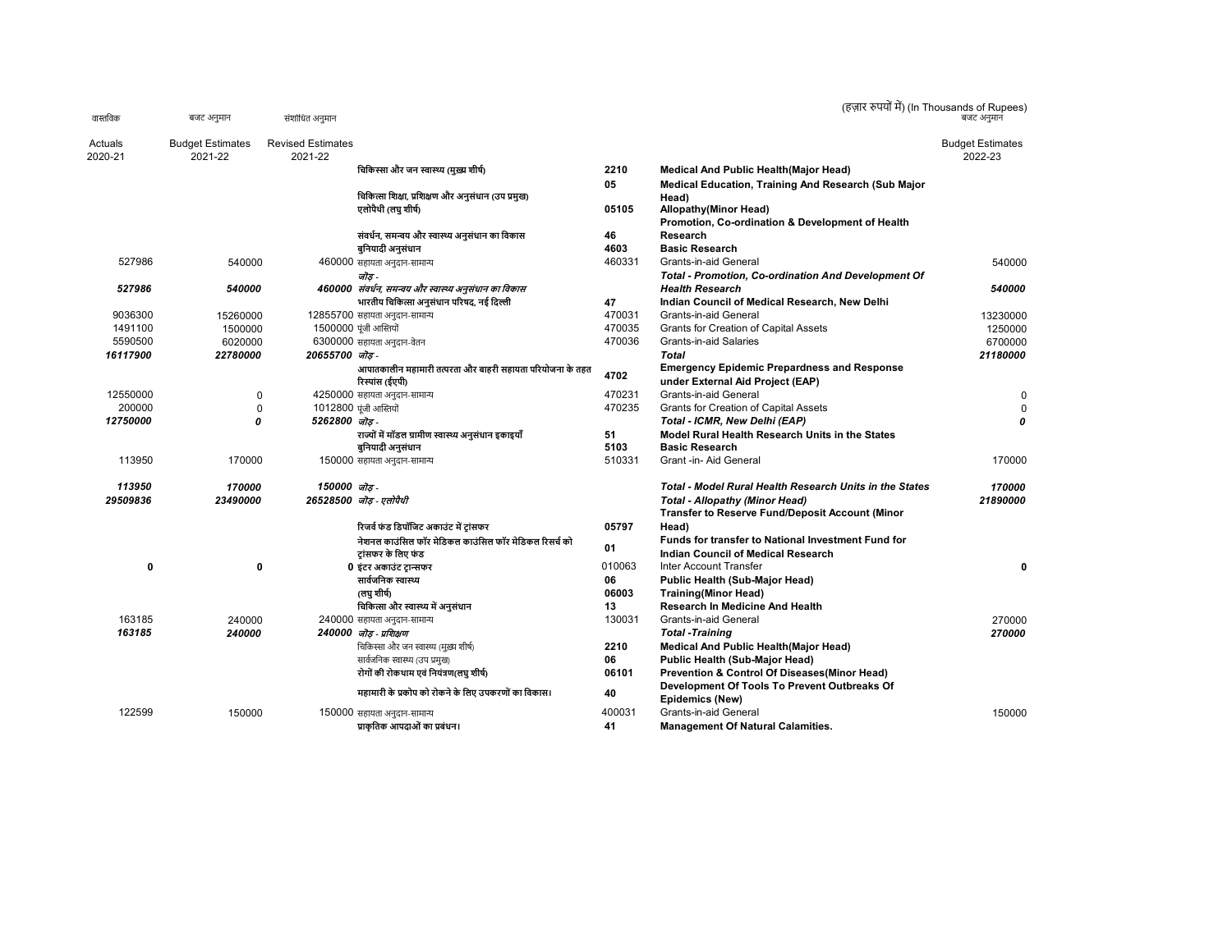| वास्तविक | बजट अनुमान              | संशोधित अनुमान           |                                                                              |        |                                                                                        | (हज़ार रुपयों में) (In Thousands of Rupees)<br>बजट अनमान |
|----------|-------------------------|--------------------------|------------------------------------------------------------------------------|--------|----------------------------------------------------------------------------------------|----------------------------------------------------------|
| Actuals  | <b>Budget Estimates</b> | <b>Revised Estimates</b> |                                                                              |        |                                                                                        | <b>Budget Estimates</b>                                  |
| 2020-21  | 2021-22                 | 2021-22                  |                                                                              |        |                                                                                        | 2022-23                                                  |
|          |                         |                          | चिकिस्सा और जन स्वास्थ्य (मुख्य शीर्ष)                                       | 2210   | Medical And Public Health(Major Head)                                                  |                                                          |
|          |                         |                          |                                                                              | 05     | Medical Education, Training And Research (Sub Major                                    |                                                          |
|          |                         |                          | चिकित्सा शिक्षा, प्रशिक्षण और अनुसंधान (उप प्रमुख)                           |        | Head)                                                                                  |                                                          |
|          |                         |                          | एलोपैथी (लघु शीर्ष)                                                          | 05105  | <b>Allopathy</b> (Minor Head)<br>Promotion, Co-ordination & Development of Health      |                                                          |
|          |                         |                          | संवर्धन, समन्वय और स्वास्थ्य अनुसंधान का विकास                               | 46     | Research                                                                               |                                                          |
|          |                         |                          | बुनियादी अनुसंधान                                                            | 4603   | <b>Basic Research</b>                                                                  |                                                          |
| 527986   | 540000                  |                          | 460000 सहायता अनुदान-सामान्य                                                 | 460331 | Grants-in-aid General                                                                  | 540000                                                   |
|          |                         |                          | जोड -                                                                        |        | <b>Total - Promotion, Co-ordination And Development Of</b>                             |                                                          |
| 527986   | 540000                  |                          | 460000  संवर्धन, समन्वय और स्वास्थ्य अनुसंधान का विकास                       |        | <b>Health Research</b>                                                                 | 540000                                                   |
|          |                         |                          | भारतीय चिकित्सा अनुसंधान परिषद, नई दिल्ली                                    | 47     | Indian Council of Medical Research, New Delhi                                          |                                                          |
| 9036300  | 15260000                |                          | 12855700 सहायता अनुदान-सामान्य                                               | 470031 | Grants-in-aid General                                                                  | 13230000                                                 |
| 1491100  | 1500000                 |                          | 1500000 पूंजी आस्तियों                                                       | 470035 | Grants for Creation of Capital Assets                                                  | 1250000                                                  |
| 5590500  | 6020000                 |                          | 6300000 सहायता अनुदान-वेतन                                                   | 470036 | <b>Grants-in-aid Salaries</b>                                                          | 6700000                                                  |
| 16117900 | 22780000                | 20655700 ਯੋਡ.            |                                                                              |        | Total                                                                                  | 21180000                                                 |
|          |                         |                          | आपातकालीन महामारी तत्परता और बाहरी सहायता परियोजना के तहत<br>रिस्पांस (ईएपी) | 4702   | <b>Emergency Epidemic Prepardness and Response</b><br>under External Aid Project (EAP) |                                                          |
| 12550000 | 0                       |                          | 4250000 सहायता अनुदान-सामान्य                                                | 470231 | Grants-in-aid General                                                                  | $\mathbf 0$                                              |
| 200000   | 0                       |                          | 1012800 पूंजी आस्तियों                                                       | 470235 | Grants for Creation of Capital Assets                                                  | $\mathbf 0$                                              |
| 12750000 | 0                       | 5262800 जोड़             |                                                                              |        | Total - ICMR, New Delhi (EAP)                                                          | $\boldsymbol{0}$                                         |
|          |                         |                          | राज्यों में मॉडल ग्रामीण स्वास्थ्य अनुसंधान इकाइयाँ                          | 51     | Model Rural Health Research Units in the States                                        |                                                          |
|          |                         |                          | बुनियादी अनुसंधान                                                            | 5103   | <b>Basic Research</b>                                                                  |                                                          |
| 113950   | 170000                  |                          | 150000 सहायता अनुदान-सामान्य                                                 | 510331 | Grant -in- Aid General                                                                 | 170000                                                   |
| 113950   | 170000                  | 150000 जोड-              |                                                                              |        | Total - Model Rural Health Research Units in the States                                | 170000                                                   |
| 29509836 | 23490000                |                          | 26528500 जोड - एलोपैथी                                                       |        | <b>Total - Allopathy (Minor Head)</b>                                                  | 21890000                                                 |
|          |                         |                          |                                                                              |        | <b>Transfer to Reserve Fund/Deposit Account (Minor</b>                                 |                                                          |
|          |                         |                          | रिजर्व फंड डिपॉजिट अकाउंट में टांसफर                                         | 05797  | Head)                                                                                  |                                                          |
|          |                         |                          | नेशनल काउंसिल फॉर मेडिकल काउंसिल फॉर मेडिकल रिसर्च को                        |        | Funds for transfer to National Investment Fund for                                     |                                                          |
|          |                         |                          | टांसफर के लिए फंड                                                            | 01     | Indian Council of Medical Research                                                     |                                                          |
| 0        | $\mathbf 0$             |                          | 0 इंटर अकाउंट ट्रान्सफर                                                      | 010063 | Inter Account Transfer                                                                 | 0                                                        |
|          |                         |                          | सार्वजनिक स्वास्थ्य                                                          | 06     | Public Health (Sub-Major Head)                                                         |                                                          |
|          |                         |                          | লেঘ যাীর্ঘ                                                                   | 06003  | <b>Training</b> (Minor Head)                                                           |                                                          |
|          |                         |                          | चिकित्सा और स्वास्थ्य में अनुसंधान                                           | 13     | <b>Research In Medicine And Health</b>                                                 |                                                          |
| 163185   | 240000                  |                          | 240000 सहायता अनुदान-सामान्य                                                 | 130031 | Grants-in-aid General                                                                  | 270000                                                   |
| 163185   | 240000                  |                          | 240000 जॊड - प्रशिक्षण                                                       |        | <b>Total -Training</b>                                                                 | 270000                                                   |
|          |                         |                          | चिकिस्सा और जन स्वास्थ्य (मुख़्य शीर्ष)                                      | 2210   | Medical And Public Health(Major Head)                                                  |                                                          |
|          |                         |                          | सार्वजनिक स्वास्थ्य (उप प्रमुख)                                              | 06     | Public Health (Sub-Major Head)                                                         |                                                          |
|          |                         |                          | रोगों की रोकथाम एवं नियंत्रण(लघु शीर्ष)                                      | 06101  | Prevention & Control Of Diseases(Minor Head)                                           |                                                          |
|          |                         |                          | महामारी के प्रकोप को रोकने के लिए उपकरणों का विकास।                          | 40     | Development Of Tools To Prevent Outbreaks Of<br>Epidemics (New)                        |                                                          |
| 122599   | 150000                  |                          | 150000 सहायता अनुदान-सामान्य                                                 | 400031 | Grants-in-aid General                                                                  | 150000                                                   |
|          |                         |                          | प्राकृतिक आपदाओं का प्रबंधन।                                                 | 41     | <b>Management Of Natural Calamities.</b>                                               |                                                          |
|          |                         |                          |                                                                              |        |                                                                                        |                                                          |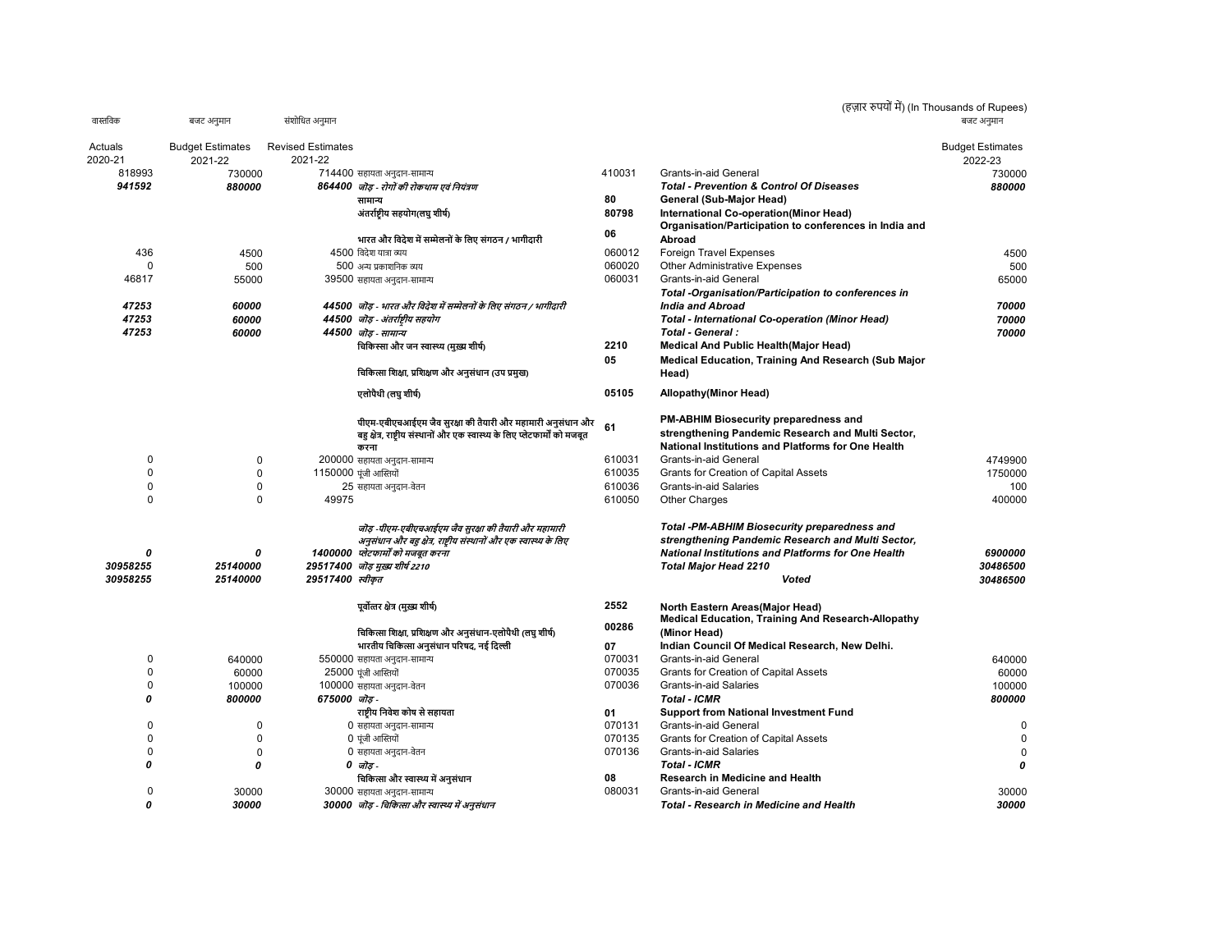|          |                         |                          |                                                                              |        | (हज़ार रुपयों में) (In Thousands of Rupees)                                                  |                         |
|----------|-------------------------|--------------------------|------------------------------------------------------------------------------|--------|----------------------------------------------------------------------------------------------|-------------------------|
| वास्तविक | बजट अनुमान              | संशोधित अनुमान           |                                                                              |        |                                                                                              | बजट अनमान               |
| Actuals  | <b>Budget Estimates</b> | <b>Revised Estimates</b> |                                                                              |        |                                                                                              | <b>Budget Estimates</b> |
| 2020-21  | 2021-22                 | 2021-22                  |                                                                              |        |                                                                                              | 2022-23                 |
| 818993   | 730000                  |                          | 714400 सहायता अनुदान-सामान्य                                                 | 410031 | Grants-in-aid General                                                                        | 730000                  |
| 941592   | 880000                  |                          | 864400 जॊड - रोगों की रोकथाम एवं नियंत्रण                                    |        | <b>Total - Prevention &amp; Control Of Diseases</b>                                          | 880000                  |
|          |                         |                          | सामान्य                                                                      | 80     | General (Sub-Major Head)                                                                     |                         |
|          |                         |                          | अंतर्राष्टीय सहयोग(लघु शीर्ष)                                                | 80798  | International Co-operation(Minor Head)                                                       |                         |
|          |                         |                          |                                                                              |        | Organisation/Participation to conferences in India and                                       |                         |
|          |                         |                          | भारत और विदेश में सम्मेलनों के लिए संगठन / भागीदारी                          | 06     | Abroad                                                                                       |                         |
| 436      | 4500                    |                          | 4500 विदेश यात्रा व्यय                                                       | 060012 | Foreign Travel Expenses                                                                      | 4500                    |
| U        | 500                     |                          | 500 अन्य प्रकाशनिक व्यय                                                      | 060020 | <b>Other Administrative Expenses</b>                                                         | 500                     |
| 46817    | 55000                   |                          | 39500 सहायता अनुदान-सामान्य                                                  | 060031 | Grants-in-aid General                                                                        | 65000                   |
|          |                         |                          |                                                                              |        |                                                                                              |                         |
|          |                         |                          |                                                                              |        | Total -Organisation/Participation to conferences in                                          |                         |
| 47253    | 60000                   |                          | 44500 जॊड़ - भारत और विदेश में सम्मेलनों के लिए संगठन / भागीदारी             |        | <b>India and Abroad</b>                                                                      | 70000                   |
| 47253    | 60000                   |                          | 44500 जोड़ - अंतर्राष्ट्रीय सहयोग                                            |        | <b>Total - International Co-operation (Minor Head)</b>                                       | 70000                   |
| 47253    | 60000                   |                          | 44500 जॊड - सामान्य                                                          |        | Total - General :                                                                            | 70000                   |
|          |                         |                          | चिकिस्सा और जन स्वास्थ्य (मुख्य शीर्ष)                                       | 2210   | Medical And Public Health (Major Head)                                                       |                         |
|          |                         |                          |                                                                              | 05     | Medical Education, Training And Research (Sub Major                                          |                         |
|          |                         |                          | चिकित्सा शिक्षा, प्रशिक्षण और अनुसंधान (उप प्रमुख)                           |        | Head)                                                                                        |                         |
|          |                         |                          | एलोपैथी (लघु शीर्ष)                                                          | 05105  | <b>Allopathy(Minor Head)</b>                                                                 |                         |
|          |                         |                          |                                                                              |        |                                                                                              |                         |
|          |                         |                          | पीएम-एबीएचआईएम जैव सुरक्षा की तैयारी और महामारी अनुसंधान और                  | 61     | PM-ABHIM Biosecurity preparedness and                                                        |                         |
|          |                         |                          | बह क्षेत्र, राष्ट्रीय संस्थानों और एक स्वास्थ्य के लिए प्लेटफार्मों को मजबूत |        | strengthening Pandemic Research and Multi Sector,                                            |                         |
|          |                         |                          | करना                                                                         |        | National Institutions and Platforms for One Health                                           |                         |
| 0        | 0                       |                          | 200000 सहायता अनुदान-सामान्य                                                 | 610031 | Grants-in-aid General                                                                        | 4749900                 |
| 0        | $\mathbf 0$             |                          | 1150000 पूंजी आस्तियों                                                       | 610035 | <b>Grants for Creation of Capital Assets</b>                                                 | 1750000                 |
| 0        | $\mathbf 0$             |                          | 25 सहायता अनुदान-वेतन                                                        | 610036 | <b>Grants-in-aid Salaries</b>                                                                | 100                     |
| 0        | $\Omega$                | 49975                    |                                                                              | 610050 | <b>Other Charges</b>                                                                         | 400000                  |
|          |                         |                          | जॊड़ -पीएम-एबीएचआईएम जैव सुरक्षा की तैयारी और महामारी                        |        | <b>Total -PM-ABHIM Biosecurity preparedness and</b>                                          |                         |
|          |                         |                          | अनुसंधान और बहु क्षेत्र, राष्ट्रीय संस्थानों और एक स्वास्थ्य के लिए          |        | strengthening Pandemic Research and Multi Sector,                                            |                         |
| 0        | 0                       |                          | 1400000 प्लेटफार्मों को मजबूत करना                                           |        | <b>National Institutions and Platforms for One Health</b>                                    | 6900000                 |
| 30958255 | 25140000                |                          | 29517400 जॊड़ मुख्य शीर्ष 2210                                               |        | <b>Total Major Head 2210</b>                                                                 | 30486500                |
| 30958255 | 25140000                | 29517400 स्वीकृत         |                                                                              |        | Voted                                                                                        | 30486500                |
|          |                         |                          |                                                                              |        |                                                                                              |                         |
|          |                         |                          | पूर्वोत्तर क्षेत्र (मुख्य शीर्ष)                                             | 2552   | North Eastern Areas(Major Head)<br><b>Medical Education, Training And Research-Allopathy</b> |                         |
|          |                         |                          | चिकित्सा शिक्षा, प्रशिक्षण और अनुसंधान-एलोपैथी (लघु शीर्ष)                   | 00286  | (Minor Head)                                                                                 |                         |
|          |                         |                          |                                                                              |        |                                                                                              |                         |
|          |                         |                          | भारतीय चिकित्सा अनुसंधान परिषद, नई दिल्ली                                    | 07     | Indian Council Of Medical Research, New Delhi.                                               |                         |
| 0        | 640000                  |                          | 550000 सहायता अनुदान-सामान्य                                                 | 070031 | Grants-in-aid General                                                                        | 640000                  |
| 0        | 60000                   |                          | 25000 पूंजी आस्तियों                                                         | 070035 | Grants for Creation of Capital Assets                                                        | 60000                   |
| 0        | 100000                  |                          | 100000 सहायता अनुदान-वेतन                                                    | 070036 | <b>Grants-in-aid Salaries</b>                                                                | 100000                  |
| 0        | 800000                  | 675000 ਯੋਫ਼ -            |                                                                              |        | <b>Total - ICMR</b>                                                                          | 800000                  |
|          |                         |                          | राष्ट्रीय निवेश कोष से सहायता                                                | 01     | <b>Support from National Investment Fund</b>                                                 |                         |
| 0        | 0                       |                          | 0 सहायता अनुदान-सामान्य                                                      | 070131 | Grants-in-aid General                                                                        | 0                       |
| 0        | $\mathbf 0$             |                          | 0 पूंजी आस्तियों                                                             | 070135 | Grants for Creation of Capital Assets                                                        | $\mathbf 0$             |
| 0        | $\mathbf 0$             |                          | 0 सहायता अनुदान-वेतन                                                         | 070136 | Grants-in-aid Salaries                                                                       | $\mathsf 0$             |
| 0        | 0                       |                          | 0 जोड-                                                                       |        | <b>Total - ICMR</b>                                                                          | 0                       |
|          |                         |                          | चिकित्सा और स्वास्थ्य में अनुसंधान                                           | 08     | Research in Medicine and Health                                                              |                         |
| 0        | 30000                   |                          | 30000 सहायता अनुदान-सामान्य                                                  | 080031 | Grants-in-aid General                                                                        | 30000                   |
| $\theta$ | 30000                   |                          | 30000 जॊड - चिकित्सा और स्वास्थ्य में अनुसंधान                               |        | <b>Total - Research in Medicine and Health</b>                                               | 30000                   |